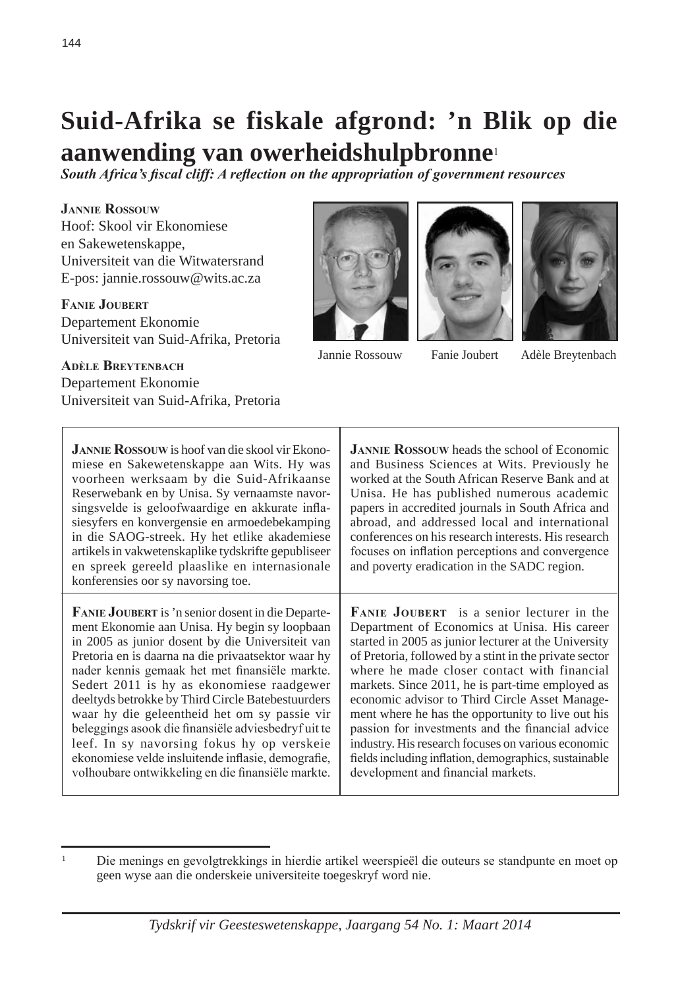# **Suid-Afrika se fiskale afgrond: 'n Blik op die aanwending van owerheidshulpbronne**<sup>1</sup>

*South Africa's fiscal cliff: A reflection on the appropriation of government resources*

**Jannie Rossouw** Hoof: Skool vir Ekonomiese en Sakewetenskappe, Universiteit van die Witwatersrand E-pos: jannie.rossouw@wits.ac.za

**Fanie Joubert** Departement Ekonomie Universiteit van Suid-Afrika, Pretoria







Jannie Rossouw Fanie Joubert Adèle Breytenbach

### **Adèle Breytenbach** Departement Ekonomie Universiteit van Suid-Afrika, Pretoria

**Jannie Rossouw** is hoof van die skool vir Ekonomiese en Sakewetenskappe aan Wits. Hy was voorheen werksaam by die Suid-Afrikaanse Reserwebank en by Unisa. Sy vernaamste navorsingsvelde is geloofwaardige en akkurate inflasiesyfers en konvergensie en armoedebekamping in die SAOG-streek. Hy het etlike akademiese artikels in vakwetenskaplike tydskrifte gepubliseer en spreek gereeld plaaslike en internasionale konferensies oor sy navorsing toe. **Fanie Joubert** is 'n senior dosent in die Departement Ekonomie aan Unisa. Hy begin sy loopbaan in 2005 as junior dosent by die Universiteit van Pretoria en is daarna na die privaatsektor waar hy nader kennis gemaak het met finansiële markte. Sedert 2011 is hy as ekonomiese raadgewer deeltyds betrokke by Third Circle Batebestuurders waar hy die geleentheid het om sy passie vir beleggings asook die finansiële adviesbedryf uit te leef. In sy navorsing fokus hy op verskeie ekonomiese velde insluitende inflasie, demografie, volhoubare ontwikkeling en die finansiële markte. **JANNIE ROSSOUW** heads the school of Economic and Business Sciences at Wits. Previously he worked at the South African Reserve Bank and at Unisa. He has published numerous academic papers in accredited journals in South Africa and abroad, and addressed local and international conferences on his research interests. His research focuses on inflation perceptions and convergence and poverty eradication in the SADC region. **Fanie Joubert** is a senior lecturer in the Department of Economics at Unisa. His career started in 2005 as junior lecturer at the University of Pretoria, followed by a stint in the private sector where he made closer contact with financial markets. Since 2011, he is part-time employed as economic advisor to Third Circle Asset Management where he has the opportunity to live out his passion for investments and the financial advice industry. His research focuses on various economic fields including inflation, demographics, sustainable development and financial markets.

<sup>1</sup> Die menings en gevolgtrekkings in hierdie artikel weerspieël die outeurs se standpunte en moet op geen wyse aan die onderskeie universiteite toegeskryf word nie.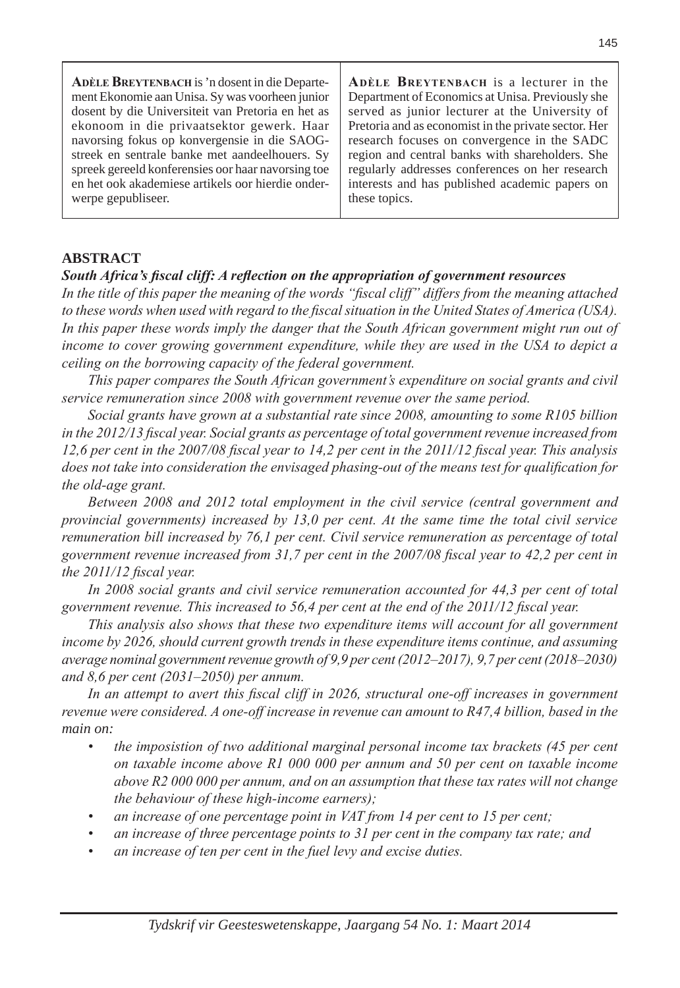| ADÈLE BREYTENBACH is 'n dosent in die Departe-     | ADÈLE BREYTENBACH is a lecturer in the               |
|----------------------------------------------------|------------------------------------------------------|
| ment Ekonomie aan Unisa. Sy was voorheen junior    | Department of Economics at Unisa. Previously she     |
| dosent by die Universiteit van Pretoria en het as  | served as junior lecturer at the University of       |
| ekonoom in die privaatsektor gewerk. Haar          | Pretoria and as economist in the private sector. Her |
| navorsing fokus op konvergensie in die SAOG-       | research focuses on convergence in the SADC          |
| streek en sentrale banke met aandeelhouers. Sy     | region and central banks with shareholders. She      |
| spreek gereeld konferensies oor haar navorsing toe | regularly addresses conferences on her research      |
| en het ook akademiese artikels oor hierdie onder-  | interests and has published academic papers on       |
| werpe gepubliseer.                                 | these topics.                                        |

### **ABSTRACT**

### *South Africa's fiscal cliff: A reflection on the appropriation of government resources*

*In the title of this paper the meaning of the words "fiscal cliff" differs from the meaning attached to these words when used with regard to the fiscal situation in the United States of America (USA).*  In this paper these words imply the danger that the South African government might run out of *income to cover growing government expenditure, while they are used in the USA to depict a ceiling on the borrowing capacity of the federal government.*

*This paper compares the South African government's expenditure on social grants and civil service remuneration since 2008 with government revenue over the same period.*

*Social grants have grown at a substantial rate since 2008, amounting to some R105 billion in the 2012/13 fiscal year. Social grants as percentage of total government revenue increased from 12,6 per cent in the 2007/08 fiscal year to 14,2 per cent in the 2011/12 fiscal year. This analysis does not take into consideration the envisaged phasing-out of the means test for qualification for the old-age grant.*

*Between 2008 and 2012 total employment in the civil service (central government and provincial governments) increased by 13,0 per cent. At the same time the total civil service remuneration bill increased by 76,1 per cent. Civil service remuneration as percentage of total government revenue increased from 31,7 per cent in the 2007/08 fiscal year to 42,2 per cent in the 2011/12 fiscal year.*

In 2008 social grants and civil service remuneration accounted for 44,3 per cent of total *government revenue. This increased to 56,4 per cent at the end of the 2011/12 fiscal year.*

*This analysis also shows that these two expenditure items will account for all government income by 2026, should current growth trends in these expenditure items continue, and assuming average nominal government revenue growth of 9,9 per cent (2012–2017), 9,7 per cent (2018–2030) and 8,6 per cent (2031–2050) per annum.*

In an attempt to avert this fiscal cliff in 2026, structural one-off increases in government *revenue were considered. A one-off increase in revenue can amount to R47,4 billion, based in the main on:*

- the imposistion of two additional marginal personal income tax brackets (45 per cent *on taxable income above R1 000 000 per annum and 50 per cent on taxable income above R2 000 000 per annum, and on an assumption that these tax rates will not change the behaviour of these high-income earners);*
- an increase of one percentage point in VAT from 14 per cent to 15 per cent;
- *• an increase of three percentage points to 31 per cent in the company tax rate; and*
- *• an increase of ten per cent in the fuel levy and excise duties.*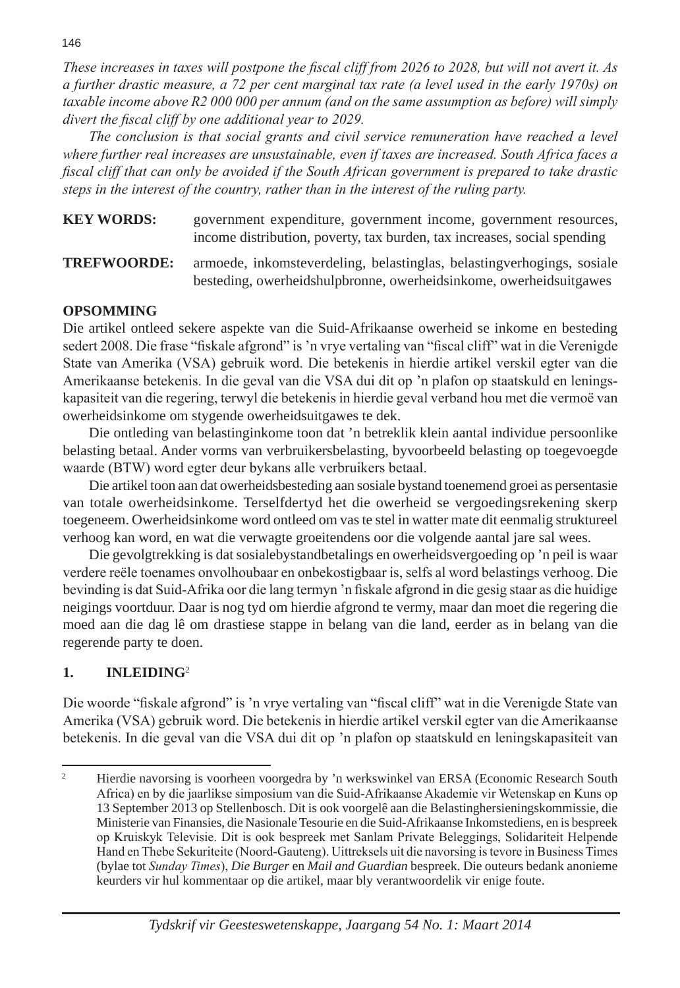*These increases in taxes will postpone the fiscal cliff from 2026 to 2028, but will not avert it. As a further drastic measure, a 72 per cent marginal tax rate (a level used in the early 1970s) on taxable income above R2 000 000 per annum (and on the same assumption as before) will simply divert the fiscal cliff by one additional year to 2029.*

*The conclusion is that social grants and civil service remuneration have reached a level where further real increases are unsustainable, even if taxes are increased. South Africa faces a fiscal cliff that can only be avoided if the South African government is prepared to take drastic steps in the interest of the country, rather than in the interest of the ruling party.*

**KEY WORDS:** government expenditure, government income, government resources, income distribution, poverty, tax burden, tax increases, social spending

**TREFWOORDE:** armoede, inkomsteverdeling, belastinglas, belastingverhogings, sosiale besteding, owerheidshulpbronne, owerheidsinkome, owerheidsuitgawes

### **OPSOMMING**

Die artikel ontleed sekere aspekte van die Suid-Afrikaanse owerheid se inkome en besteding sedert 2008. Die frase "fiskale afgrond" is 'n vrye vertaling van "fiscal cliff" wat in die Verenigde State van Amerika (VSA) gebruik word. Die betekenis in hierdie artikel verskil egter van die Amerikaanse betekenis. In die geval van die VSA dui dit op 'n plafon op staatskuld en leningskapasiteit van die regering, terwyl die betekenis in hierdie geval verband hou met die vermoë van owerheidsinkome om stygende owerheidsuitgawes te dek.

Die ontleding van belastinginkome toon dat 'n betreklik klein aantal individue persoonlike belasting betaal. Ander vorms van verbruikersbelasting, byvoorbeeld belasting op toegevoegde waarde (BTW) word egter deur bykans alle verbruikers betaal.

Die artikel toon aan dat owerheidsbesteding aan sosiale bystand toenemend groei as persentasie van totale owerheidsinkome. Terselfdertyd het die owerheid se vergoedingsrekening skerp toegeneem. Owerheidsinkome word ontleed om vas te stel in watter mate dit eenmalig struktureel verhoog kan word, en wat die verwagte groeitendens oor die volgende aantal jare sal wees.

Die gevolgtrekking is dat sosialebystandbetalings en owerheidsvergoeding op 'n peil is waar verdere reële toenames onvolhoubaar en onbekostigbaar is, selfs al word belastings verhoog. Die bevinding is dat Suid-Afrika oor die lang termyn 'n fiskale afgrond in die gesig staar as die huidige neigings voortduur. Daar is nog tyd om hierdie afgrond te vermy, maar dan moet die regering die moed aan die dag lê om drastiese stappe in belang van die land, eerder as in belang van die regerende party te doen.

# **1. INLEIDING**<sup>2</sup>

Die woorde "fiskale afgrond" is 'n vrye vertaling van "fiscal cliff" wat in die Verenigde State van Amerika (VSA) gebruik word. Die betekenis in hierdie artikel verskil egter van die Amerikaanse betekenis. In die geval van die VSA dui dit op 'n plafon op staatskuld en leningskapasiteit van

<sup>&</sup>lt;sup>2</sup> Hierdie navorsing is voorheen voorgedra by 'n werkswinkel van ERSA (Economic Research South Africa) en by die jaarlikse simposium van die Suid-Afrikaanse Akademie vir Wetenskap en Kuns op 13 September 2013 op Stellenbosch. Dit is ook voorgelê aan die Belastinghersieningskommissie, die Ministerie van Finansies, die Nasionale Tesourie en die Suid-Afrikaanse Inkomstediens, en is bespreek op Kruiskyk Televisie. Dit is ook bespreek met Sanlam Private Beleggings, Solidariteit Helpende Hand en Thebe Sekuriteite (Noord-Gauteng). Uittreksels uit die navorsing is tevore in Business Times (bylae tot *Sunday Times*), *Die Burger* en *Mail and Guardian* bespreek. Die outeurs bedank anonieme keurders vir hul kommentaar op die artikel, maar bly verantwoordelik vir enige foute.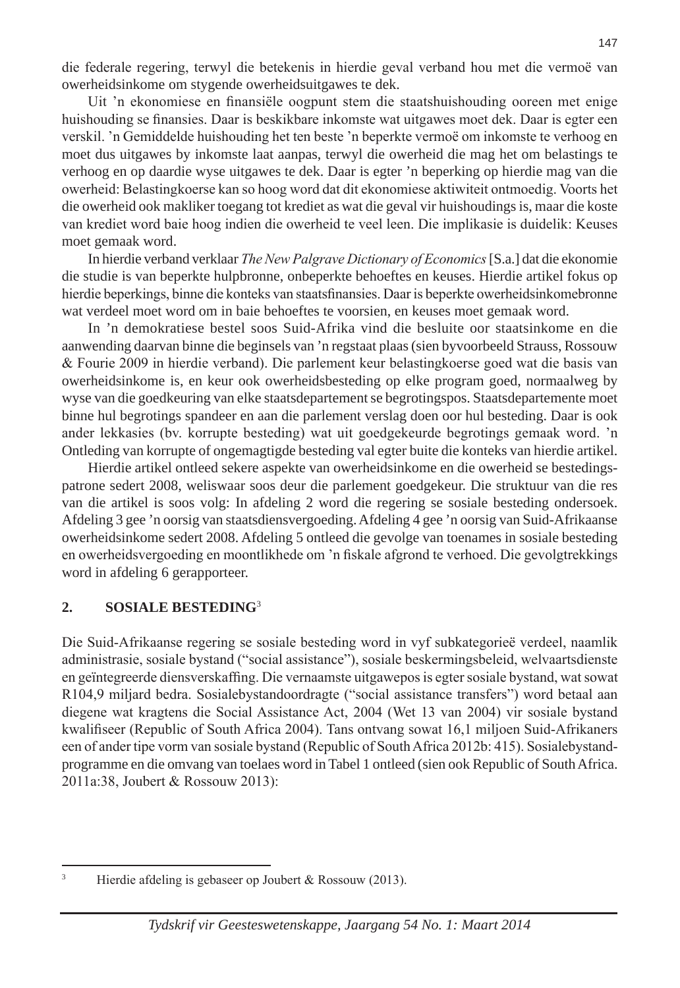die federale regering, terwyl die betekenis in hierdie geval verband hou met die vermoë van owerheidsinkome om stygende owerheidsuitgawes te dek.

Uit 'n ekonomiese en finansiële oogpunt stem die staatshuishouding ooreen met enige huishouding se finansies. Daar is beskikbare inkomste wat uitgawes moet dek. Daar is egter een verskil. 'n Gemiddelde huishouding het ten beste 'n beperkte vermoë om inkomste te verhoog en moet dus uitgawes by inkomste laat aanpas, terwyl die owerheid die mag het om belastings te verhoog en op daardie wyse uitgawes te dek. Daar is egter 'n beperking op hierdie mag van die owerheid: Belastingkoerse kan so hoog word dat dit ekonomiese aktiwiteit ontmoedig. Voorts het die owerheid ook makliker toegang tot krediet as wat die geval vir huishoudings is, maar die koste van krediet word baie hoog indien die owerheid te veel leen. Die implikasie is duidelik: Keuses moet gemaak word.

In hierdie verband verklaar *The New Palgrave Dictionary of Economics* [S.a.] dat die ekonomie die studie is van beperkte hulpbronne, onbeperkte behoeftes en keuses. Hierdie artikel fokus op hierdie beperkings, binne die konteks van staatsfinansies. Daar is beperkte owerheidsinkomebronne wat verdeel moet word om in baie behoeftes te voorsien, en keuses moet gemaak word.

In 'n demokratiese bestel soos Suid-Afrika vind die besluite oor staatsinkome en die aanwending daarvan binne die beginsels van 'n regstaat plaas (sien byvoorbeeld Strauss, Rossouw & Fourie 2009 in hierdie verband). Die parlement keur belastingkoerse goed wat die basis van owerheidsinkome is, en keur ook owerheidsbesteding op elke program goed, normaalweg by wyse van die goedkeuring van elke staatsdepartement se begrotingspos. Staatsdepartemente moet binne hul begrotings spandeer en aan die parlement verslag doen oor hul besteding. Daar is ook ander lekkasies (bv. korrupte besteding) wat uit goedgekeurde begrotings gemaak word. 'n Ontleding van korrupte of ongemagtigde besteding val egter buite die konteks van hierdie artikel.

Hierdie artikel ontleed sekere aspekte van owerheidsinkome en die owerheid se bestedingspatrone sedert 2008, weliswaar soos deur die parlement goedgekeur. Die struktuur van die res van die artikel is soos volg: In afdeling 2 word die regering se sosiale besteding ondersoek. Afdeling 3 gee 'n oorsig van staatsdiensvergoeding. Afdeling 4 gee 'n oorsig van Suid-Afrikaanse owerheidsinkome sedert 2008. Afdeling 5 ontleed die gevolge van toenames in sosiale besteding en owerheidsvergoeding en moontlikhede om 'n fiskale afgrond te verhoed. Die gevolgtrekkings word in afdeling 6 gerapporteer.

### **2. SOSIALE BESTEDING**<sup>3</sup>

Die Suid-Afrikaanse regering se sosiale besteding word in vyf subkategorieë verdeel, naamlik administrasie, sosiale bystand ("social assistance"), sosiale beskermingsbeleid, welvaartsdienste en geïntegreerde diensverskaffing. Die vernaamste uitgawepos is egter sosiale bystand, wat sowat R104,9 miljard bedra. Sosialebystandoordragte ("social assistance transfers") word betaal aan diegene wat kragtens die Social Assistance Act, 2004 (Wet 13 van 2004) vir sosiale bystand kwalifiseer (Republic of South Africa 2004). Tans ontvang sowat 16,1 miljoen Suid-Afrikaners een of ander tipe vorm van sosiale bystand (Republic of South Africa 2012b: 415). Sosialebystandprogramme en die omvang van toelaes word in Tabel 1 ontleed (sien ook Republic of South Africa. 2011a:38, Joubert & Rossouw 2013):

<sup>&</sup>lt;sup>3</sup> Hierdie afdeling is gebaseer op Joubert & Rossouw (2013).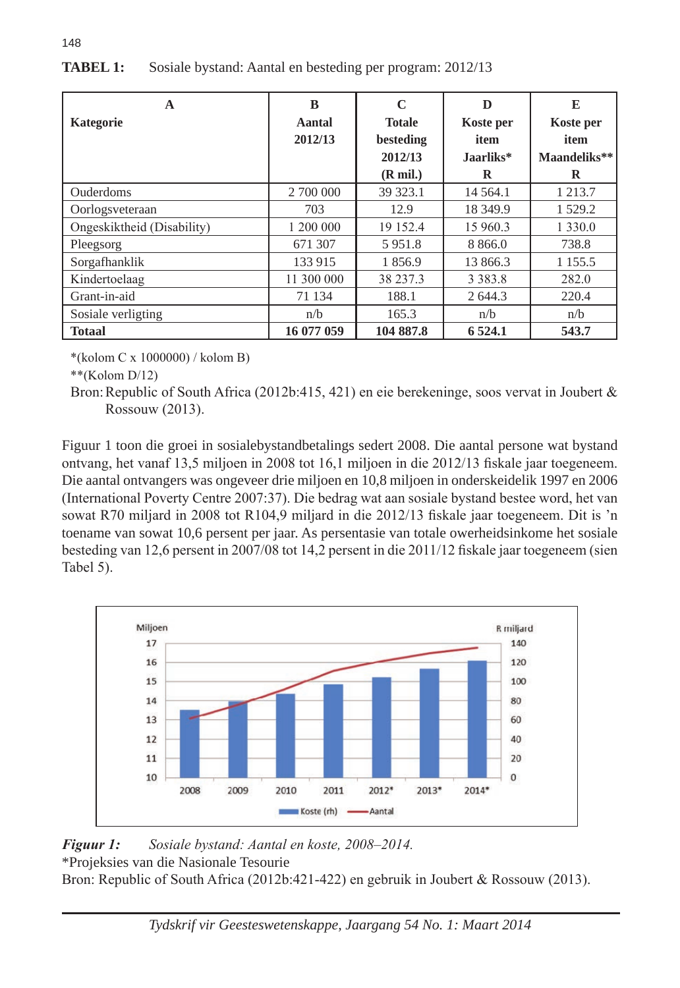| A                          | B          | C                  | D           | E            |
|----------------------------|------------|--------------------|-------------|--------------|
| Kategorie                  | Aantal     | <b>Totale</b>      | Koste per   | Koste per    |
|                            | 2012/13    | besteding          | item        | item         |
|                            |            | 2012/13            | Jaarliks*   | Maandeliks** |
|                            |            | $(R \text{ mil.})$ | R           | R            |
| Ouderdoms                  | 2 700 000  | 39 323.1           | 14 5 64.1   | 1 2 1 3 . 7  |
| Oorlogsveteraan            | 703        | 12.9               | 18 349.9    | 1 5 2 9 . 2  |
| Ongeskiktheid (Disability) | 1 200 000  | 19 152.4           | 15 960.3    | 1 3 3 0 .0   |
| Pleegsorg                  | 671 307    | 5951.8             | 8 8 6 6 .0  | 738.8        |
| Sorgafhanklik              | 133 915    | 1856.9             | 13 866.3    | 1 1 5 5 . 5  |
| Kindertoelaag              | 11 300 000 | 38 237.3           | 3 3 8 3 . 8 | 282.0        |
| Grant-in-aid               | 71 134     | 188.1              | 2 644.3     | 220.4        |
| Sosiale verligting         | n/b        | 165.3              | n/b         | n/b          |
| <b>Totaal</b>              | 16 077 059 | 104 887.8          | 6 5 24.1    | 543.7        |

# **TABEL 1:** Sosiale bystand: Aantal en besteding per program: 2012/13

\*(kolom C x 1000000) / kolom B)

\*\*(Kolom D/12)

148

Bron:Republic of South Africa (2012b:415, 421) en eie berekeninge, soos vervat in Joubert & Rossouw (2013).

Figuur 1 toon die groei in sosialebystandbetalings sedert 2008. Die aantal persone wat bystand ontvang, het vanaf 13,5 miljoen in 2008 tot 16,1 miljoen in die 2012/13 fiskale jaar toegeneem. Die aantal ontvangers was ongeveer drie miljoen en 10,8 miljoen in onderskeidelik 1997 en 2006 (International Poverty Centre 2007:37). Die bedrag wat aan sosiale bystand bestee word, het van sowat R70 miljard in 2008 tot R104,9 miljard in die 2012/13 fiskale jaar toegeneem. Dit is 'n toename van sowat 10,6 persent per jaar. As persentasie van totale owerheidsinkome het sosiale besteding van 12,6 persent in 2007/08 tot 14,2 persent in die 2011/12 fiskale jaar toegeneem (sien Tabel 5).



### *Figuur 1: Sosiale bystand: Aantal en koste, 2008–2014.*  \*Projeksies van die Nasionale Tesourie

Bron: Republic of South Africa (2012b:421-422) en gebruik in Joubert & Rossouw (2013).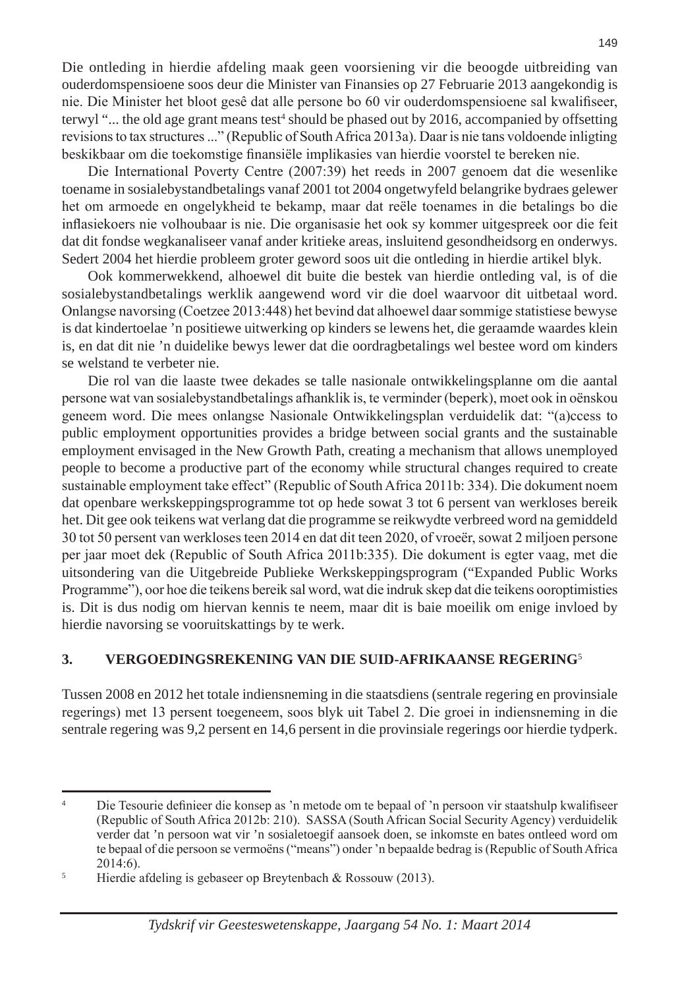Die ontleding in hierdie afdeling maak geen voorsiening vir die beoogde uitbreiding van ouderdomspensioene soos deur die Minister van Finansies op 27 Februarie 2013 aangekondig is nie. Die Minister het bloot gesê dat alle persone bo 60 vir ouderdomspensioene sal kwalifiseer, terwyl "... the old age grant means test<sup>4</sup> should be phased out by 2016, accompanied by offsetting revisions to tax structures ..." (Republic of South Africa 2013a). Daar is nie tans voldoende inligting beskikbaar om die toekomstige finansiële implikasies van hierdie voorstel te bereken nie.

Die International Poverty Centre (2007:39) het reeds in 2007 genoem dat die wesenlike toename in sosialebystandbetalings vanaf 2001 tot 2004 ongetwyfeld belangrike bydraes gelewer het om armoede en ongelykheid te bekamp, maar dat reële toenames in die betalings bo die inflasiekoers nie volhoubaar is nie. Die organisasie het ook sy kommer uitgespreek oor die feit dat dit fondse wegkanaliseer vanaf ander kritieke areas, insluitend gesondheidsorg en onderwys. Sedert 2004 het hierdie probleem groter geword soos uit die ontleding in hierdie artikel blyk.

Ook kommerwekkend, alhoewel dit buite die bestek van hierdie ontleding val, is of die sosialebystandbetalings werklik aangewend word vir die doel waarvoor dit uitbetaal word. Onlangse navorsing (Coetzee 2013:448) het bevind dat alhoewel daar sommige statistiese bewyse is dat kindertoelae 'n positiewe uitwerking op kinders se lewens het, die geraamde waardes klein is, en dat dit nie 'n duidelike bewys lewer dat die oordragbetalings wel bestee word om kinders se welstand te verbeter nie.

Die rol van die laaste twee dekades se talle nasionale ontwikkelingsplanne om die aantal persone wat van sosialebystandbetalings afhanklik is, te verminder (beperk), moet ook in oënskou geneem word. Die mees onlangse Nasionale Ontwikkelingsplan verduidelik dat: "(a)ccess to public employment opportunities provides a bridge between social grants and the sustainable employment envisaged in the New Growth Path, creating a mechanism that allows unemployed people to become a productive part of the economy while structural changes required to create sustainable employment take effect" (Republic of South Africa 2011b: 334). Die dokument noem dat openbare werkskeppingsprogramme tot op hede sowat 3 tot 6 persent van werkloses bereik het. Dit gee ook teikens wat verlang dat die programme se reikwydte verbreed word na gemiddeld 30 tot 50 persent van werkloses teen 2014 en dat dit teen 2020, of vroeër, sowat 2 miljoen persone per jaar moet dek (Republic of South Africa 2011b:335). Die dokument is egter vaag, met die uitsondering van die Uitgebreide Publieke Werkskeppingsprogram ("Expanded Public Works Programme"), oor hoe die teikens bereik sal word, wat die indruk skep dat die teikens ooroptimisties is. Dit is dus nodig om hiervan kennis te neem, maar dit is baie moeilik om enige invloed by hierdie navorsing se vooruitskattings by te werk.

### **3. VERGOEDINGSREKENING VAN DIE SUID-AFRIKAANSE REGERING**<sup>5</sup>

Tussen 2008 en 2012 het totale indiensneming in die staatsdiens (sentrale regering en provinsiale regerings) met 13 persent toegeneem, soos blyk uit Tabel 2. Die groei in indiensneming in die sentrale regering was 9,2 persent en 14,6 persent in die provinsiale regerings oor hierdie tydperk.

149

<sup>4</sup> Die Tesourie definieer die konsep as 'n metode om te bepaal of 'n persoon vir staatshulp kwalifiseer (Republic of South Africa 2012b: 210). SASSA (South African Social Security Agency) verduidelik verder dat 'n persoon wat vir 'n sosialetoegif aansoek doen, se inkomste en bates ontleed word om te bepaal of die persoon se vermoëns ("means") onder 'n bepaalde bedrag is (Republic of South Africa 2014:6).

<sup>5</sup> Hierdie afdeling is gebaseer op Breytenbach & Rossouw (2013).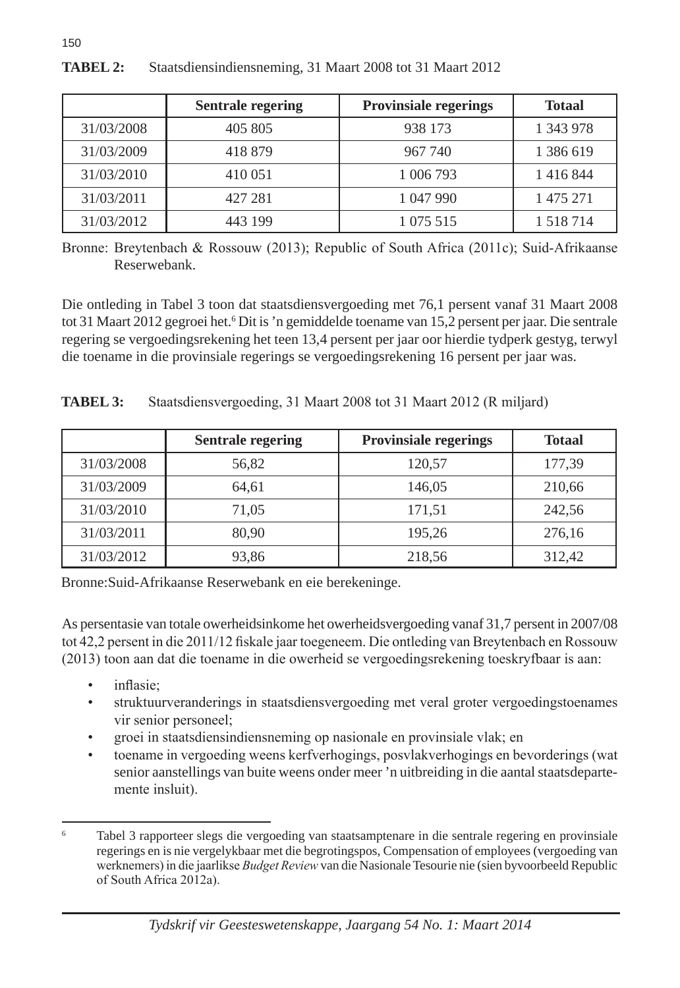|            | <b>Sentrale regering</b> | <b>Provinsiale regerings</b> | <b>Totaal</b> |
|------------|--------------------------|------------------------------|---------------|
| 31/03/2008 | 405 805                  | 938 173                      | 1 343 978     |
| 31/03/2009 | 418 879                  | 967 740                      | 1 386 619     |
| 31/03/2010 | 410 051                  | 1 006 793                    | 1416844       |
| 31/03/2011 | 427 281                  | 1 047 990                    | 1 475 271     |
| 31/03/2012 | 443 199                  | 1 075 515                    | 1 5 1 8 7 1 4 |

# **TABEL 2:** Staatsdiensindiensneming, 31 Maart 2008 tot 31 Maart 2012

Bronne: Breytenbach & Rossouw (2013); Republic of South Africa (2011c); Suid-Afrikaanse Reserwebank.

Die ontleding in Tabel 3 toon dat staatsdiensvergoeding met 76,1 persent vanaf 31 Maart 2008 tot 31 Maart 2012 gegroei het. <sup>6</sup> Dit is 'n gemiddelde toename van 15,2 persent per jaar. Die sentrale regering se vergoedingsrekening het teen 13,4 persent per jaar oor hierdie tydperk gestyg, terwyl die toename in die provinsiale regerings se vergoedingsrekening 16 persent per jaar was.

| <b>TABEL 3:</b><br>Staatsdiensvergoeding, 31 Maart 2008 tot 31 Maart 2012 (R miljard) |  |
|---------------------------------------------------------------------------------------|--|
|---------------------------------------------------------------------------------------|--|

|            | <b>Sentrale regering</b> | <b>Provinsiale regerings</b> | <b>Totaal</b> |
|------------|--------------------------|------------------------------|---------------|
| 31/03/2008 | 56,82                    | 120,57                       | 177,39        |
| 31/03/2009 | 64.61                    | 146.05                       | 210,66        |
| 31/03/2010 | 71,05                    | 171,51                       | 242,56        |
| 31/03/2011 | 80.90                    | 195,26                       | 276,16        |
| 31/03/2012 | 93,86                    | 218,56                       | 312,42        |

Bronne:Suid-Afrikaanse Reserwebank en eie berekeninge.

As persentasie van totale owerheidsinkome het owerheidsvergoeding vanaf 31,7 persent in 2007/08 tot 42,2 persent in die 2011/12 fiskale jaar toegeneem. Die ontleding van Breytenbach en Rossouw (2013) toon aan dat die toename in die owerheid se vergoedingsrekening toeskryfbaar is aan:

• inflasie;

150

- struktuurveranderings in staatsdiensvergoeding met veral groter vergoedingstoenames vir senior personeel;
- groei in staatsdiensindiensneming op nasionale en provinsiale vlak; en
- toename in vergoeding weens kerfverhogings, posvlakverhogings en bevorderings (wat senior aanstellings van buite weens onder meer 'n uitbreiding in die aantal staatsdepartemente insluit).

<sup>6</sup> Tabel 3 rapporteer slegs die vergoeding van staatsamptenare in die sentrale regering en provinsiale regerings en is nie vergelykbaar met die begrotingspos, Compensation of employees (vergoeding van werknemers) in die jaarlikse *Budget Review* van die Nasionale Tesourie nie (sien byvoorbeeld Republic of South Africa 2012a).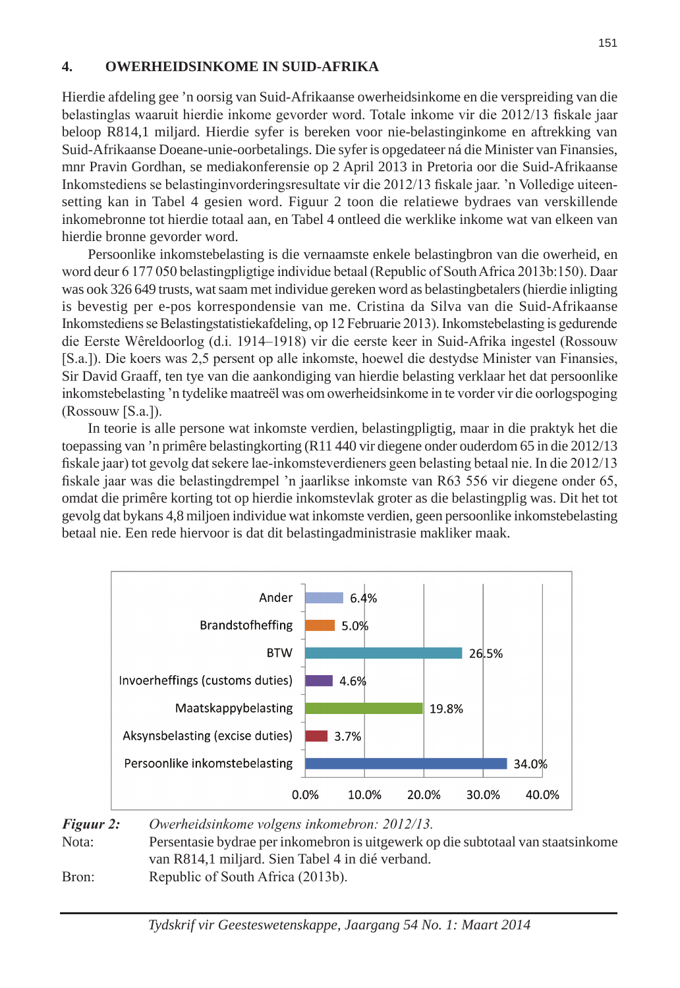### **4. OWERHEIDSINKOME IN SUID-AFRIKA**

Hierdie afdeling gee 'n oorsig van Suid-Afrikaanse owerheidsinkome en die verspreiding van die belastinglas waaruit hierdie inkome gevorder word. Totale inkome vir die 2012/13 fiskale jaar beloop R814,1 miljard. Hierdie syfer is bereken voor nie-belastinginkome en aftrekking van Suid-Afrikaanse Doeane-unie-oorbetalings. Die syfer is opgedateer ná die Minister van Finansies, mnr Pravin Gordhan, se mediakonferensie op 2 April 2013 in Pretoria oor die Suid-Afrikaanse Inkomstediens se belastinginvorderingsresultate vir die 2012/13 fiskale jaar. 'n Volledige uiteensetting kan in Tabel 4 gesien word. Figuur 2 toon die relatiewe bydraes van verskillende inkomebronne tot hierdie totaal aan, en Tabel 4 ontleed die werklike inkome wat van elkeen van hierdie bronne gevorder word.

Persoonlike inkomstebelasting is die vernaamste enkele belastingbron van die owerheid, en word deur 6 177 050 belastingpligtige individue betaal (Republic of South Africa 2013b:150). Daar was ook 326 649 trusts, wat saam met individue gereken word as belastingbetalers (hierdie inligting is bevestig per e-pos korrespondensie van me. Cristina da Silva van die Suid-Afrikaanse Inkomstediens se Belastingstatistiekafdeling, op 12 Februarie 2013). Inkomstebelasting is gedurende die Eerste Wêreldoorlog (d.i. 1914–1918) vir die eerste keer in Suid-Afrika ingestel (Rossouw [S.a.]). Die koers was 2,5 persent op alle inkomste, hoewel die destydse Minister van Finansies, Sir David Graaff, ten tye van die aankondiging van hierdie belasting verklaar het dat persoonlike inkomstebelasting 'n tydelike maatreël was om owerheidsinkome in te vorder vir die oorlogspoging (Rossouw [S.a.]).

In teorie is alle persone wat inkomste verdien, belastingpligtig, maar in die praktyk het die toepassing van 'n primêre belastingkorting (R11 440 vir diegene onder ouderdom 65 in die 2012/13 fiskale jaar) tot gevolg dat sekere lae-inkomsteverdieners geen belasting betaal nie. In die 2012/13 fiskale jaar was die belastingdrempel 'n jaarlikse inkomste van R63 556 vir diegene onder 65, omdat die primêre korting tot op hierdie inkomstevlak groter as die belastingplig was. Dit het tot gevolg dat bykans 4,8 miljoen individue wat inkomste verdien, geen persoonlike inkomstebelasting betaal nie. Een rede hiervoor is dat dit belastingadministrasie makliker maak.



| Figuur 2: | Owerheidsinkome volgens inkomebron: 2012/13.                                     |
|-----------|----------------------------------------------------------------------------------|
| Nota:     | Persentasie bydrae per inkomebron is uitgewerk op die subtotaal van staatsinkome |
|           | van R814,1 miljard. Sien Tabel 4 in dié verband.                                 |
| Bron:     | Republic of South Africa (2013b).                                                |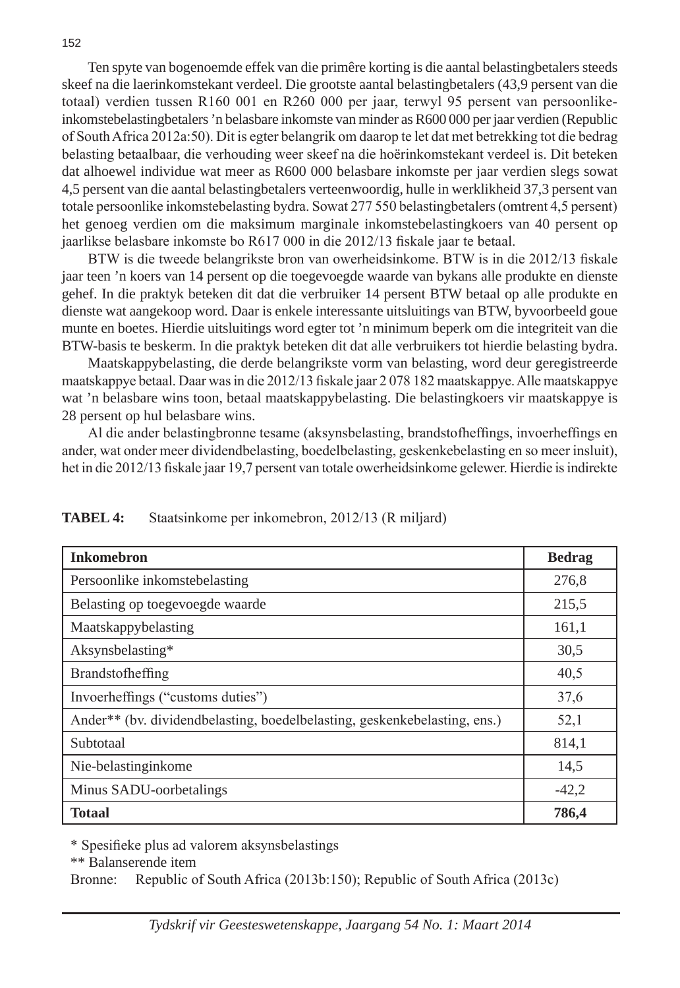Ten spyte van bogenoemde effek van die primêre korting is die aantal belastingbetalers steeds skeef na die laerinkomstekant verdeel. Die grootste aantal belastingbetalers (43,9 persent van die totaal) verdien tussen R160 001 en R260 000 per jaar, terwyl 95 persent van persoonlikeinkomstebelastingbetalers 'n belasbare inkomste van minder as R600 000 per jaar verdien (Republic of South Africa 2012a:50). Dit is egter belangrik om daarop te let dat met betrekking tot die bedrag belasting betaalbaar, die verhouding weer skeef na die hoërinkomstekant verdeel is. Dit beteken dat alhoewel individue wat meer as R600 000 belasbare inkomste per jaar verdien slegs sowat 4,5 persent van die aantal belastingbetalers verteenwoordig, hulle in werklikheid 37,3 persent van totale persoonlike inkomstebelasting bydra. Sowat 277 550 belastingbetalers (omtrent 4,5 persent) het genoeg verdien om die maksimum marginale inkomstebelastingkoers van 40 persent op jaarlikse belasbare inkomste bo R617 000 in die 2012/13 fiskale jaar te betaal.

BTW is die tweede belangrikste bron van owerheidsinkome. BTW is in die 2012/13 fiskale jaar teen 'n koers van 14 persent op die toegevoegde waarde van bykans alle produkte en dienste gehef. In die praktyk beteken dit dat die verbruiker 14 persent BTW betaal op alle produkte en dienste wat aangekoop word. Daar is enkele interessante uitsluitings van BTW, byvoorbeeld goue munte en boetes. Hierdie uitsluitings word egter tot 'n minimum beperk om die integriteit van die BTW-basis te beskerm. In die praktyk beteken dit dat alle verbruikers tot hierdie belasting bydra.

Maatskappybelasting, die derde belangrikste vorm van belasting, word deur geregistreerde maatskappye betaal. Daar was in die 2012/13 fiskale jaar 2 078 182 maatskappye. Alle maatskappye wat 'n belasbare wins toon, betaal maatskappybelasting. Die belastingkoers vir maatskappye is 28 persent op hul belasbare wins.

Al die ander belastingbronne tesame (aksynsbelasting, brandstofheffings, invoerheffings en ander, wat onder meer dividendbelasting, boedelbelasting, geskenkebelasting en so meer insluit), het in die 2012/13 fiskale jaar 19,7 persent van totale owerheidsinkome gelewer. Hierdie is indirekte

| <b>Inkomebron</b>                                                         | <b>Bedrag</b> |
|---------------------------------------------------------------------------|---------------|
| Persoonlike inkomstebelasting                                             | 276,8         |
| Belasting op toegevoegde waarde                                           | 215,5         |
| Maatskappybelasting                                                       | 161,1         |
| Aksynsbelasting*                                                          | 30,5          |
| Brandstofheffing                                                          | 40,5          |
| Invoerheffings ("customs duties")                                         | 37,6          |
| Ander** (by. dividendbelasting, boedelbelasting, geskenkebelasting, ens.) | 52,1          |
| Subtotaal                                                                 | 814,1         |
| Nie-belastinginkome                                                       | 14,5          |
| Minus SADU-oorbetalings                                                   | $-42,2$       |
| Totaal                                                                    | 786,4         |

**TABEL 4:** Staatsinkome per inkomebron, 2012/13 (R miljard)

\* Spesifieke plus ad valorem aksynsbelastings

\*\* Balanserende item

Bronne: Republic of South Africa (2013b:150); Republic of South Africa (2013c)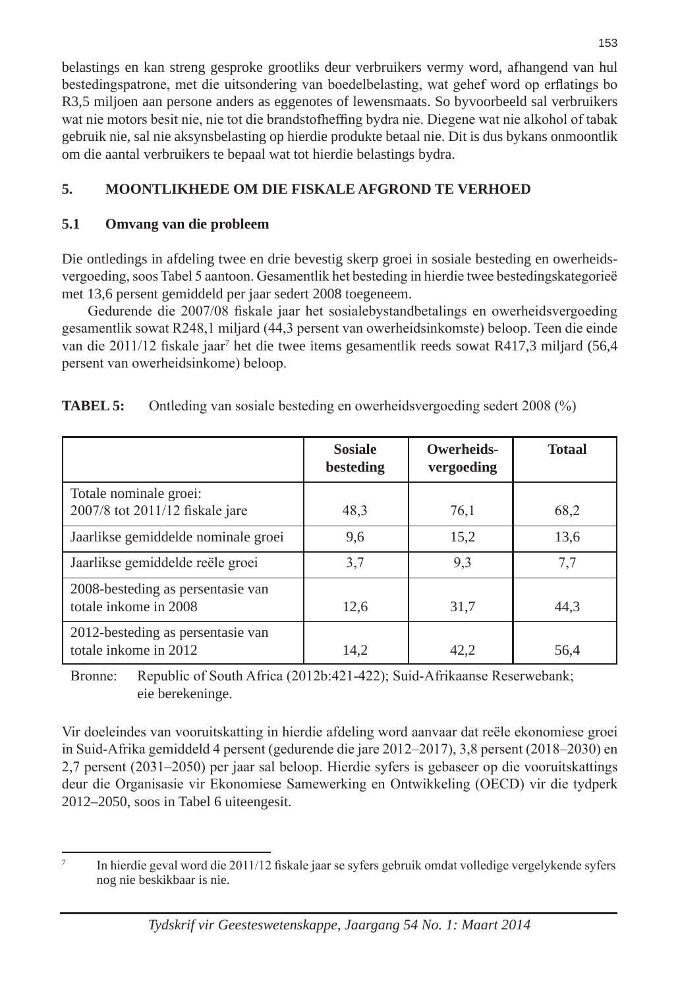belastings en kan streng gesproke grootliks deur verbruikers vermy word, afhangend van hul bestedingspatrone, met die uitsondering van boedelbelasting, wat gehef word op erflatings bo R3,5 miljoen aan persone anders as eggenotes of lewensmaats. So byvoorbeeld sal verbruikers wat nie motors besit nie, nie tot die brandstofheffing bydra nie. Diegene wat nie alkohol of tabak gebruik nie, sal nie aksynsbelasting op hierdie produkte betaal nie. Dit is dus bykans onmoontlik om die aantal verbruikers te bepaal wat tot hierdie belastings bydra.

# **5. MOONTLIKHEDE OM DIE FISKALE AFGROND TE VERHOED**

# **5.1 Omvang van die probleem**

Die ontledings in afdeling twee en drie bevestig skerp groei in sosiale besteding en owerheidsvergoeding, soos Tabel 5 aantoon. Gesamentlik het besteding in hierdie twee bestedingskategorieë met 13,6 persent gemiddeld per jaar sedert 2008 toegeneem.

Gedurende die 2007/08 fiskale jaar het sosialebystandbetalings en owerheidsvergoeding gesamentlik sowat R248,1 miljard (44,3 persent van owerheidsinkomste) beloop. Teen die einde van die 2011/12 fiskale jaar<sup>7</sup> het die twee items gesamentlik reeds sowat R417,3 miljard (56,4 persent van owerheidsinkome) beloop.

|                                                            | <b>Sosiale</b><br>besteding | Owerheids-<br>vergoeding | <b>Totaal</b> |
|------------------------------------------------------------|-----------------------------|--------------------------|---------------|
| Totale nominale groei:<br>2007/8 tot 2011/12 fiskale jare  | 48,3                        | 76,1                     | 68,2          |
| Jaarlikse gemiddelde nominale groei                        | 9,6                         | 15,2                     | 13.6          |
| Jaarlikse gemiddelde reële groei                           | 3,7                         | 9,3                      | 7,7           |
| 2008-besteding as persentasie van<br>totale inkome in 2008 | 12,6                        | 31,7                     | 44.3          |
| 2012-besteding as persentasie van<br>totale inkome in 2012 | 14.2                        | 42.2                     | 56,4          |

| <b>TABEL 5:</b> | Ontleding van sosiale besteding en owerheidsvergoeding sedert 2008 (%) |  |  |
|-----------------|------------------------------------------------------------------------|--|--|
|                 |                                                                        |  |  |

Bronne: Republic of South Africa (2012b:421-422); Suid-Afrikaanse Reserwebank; eie berekeninge.

Vir doeleindes van vooruitskatting in hierdie afdeling word aanvaar dat reële ekonomiese groei in Suid-Afrika gemiddeld 4 persent (gedurende die jare 2012–2017), 3,8 persent (2018–2030) en 2,7 persent (2031–2050) per jaar sal beloop. Hierdie syfers is gebaseer op die vooruitskattings deur die Organisasie vir Ekonomiese Samewerking en Ontwikkeling (OECD) vir die tydperk 2012–2050, soos in Tabel 6 uiteengesit.

<sup>7</sup> In hierdie geval word die 2011/12 fiskale jaar se syfers gebruik omdat volledige vergelykende syfers nog nie beskikbaar is nie.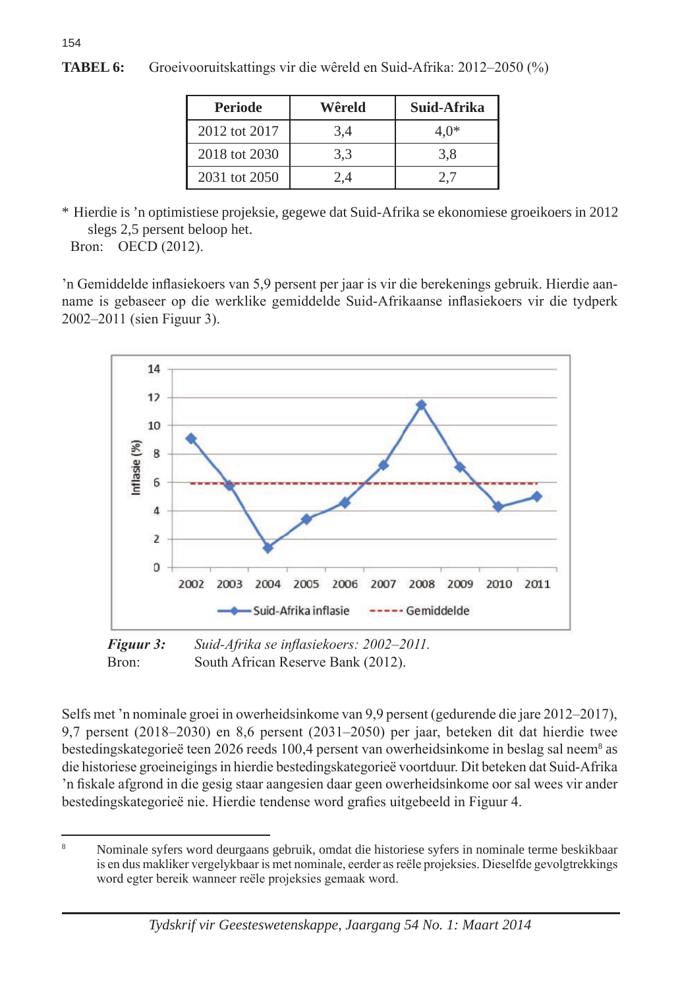| <b>Periode</b> | Wêreld | Suid-Afrika |
|----------------|--------|-------------|
| 2012 tot 2017  | 3.4    | 4.0*        |
| 2018 tot 2030  | 3.3    | 3.8         |
| 2031 tot 2050  | ⊿ י    |             |

**TABEL 6:** Groeivooruitskattings vir die wêreld en Suid-Afrika: 2012–2050 (%)

\* Hierdie is 'n optimistiese projeksie, gegewe dat Suid-Afrika se ekonomiese groeikoers in 2012 slegs 2,5 persent beloop het.

Bron: OECD (2012).

154

'n Gemiddelde inflasiekoers van 5,9 persent per jaar is vir die berekenings gebruik. Hierdie aanname is gebaseer op die werklike gemiddelde Suid-Afrikaanse inflasiekoers vir die tydperk 2002–2011 (sien Figuur 3).



*Figuur 3: Suid-Afrika se inflasiekoers: 2002–2011.*  Bron: South African Reserve Bank (2012).

Selfs met 'n nominale groei in owerheidsinkome van 9,9 persent (gedurende die jare 2012–2017), 9,7 persent (2018–2030) en 8,6 persent (2031–2050) per jaar, beteken dit dat hierdie twee bestedingskategorieë teen 2026 reeds 100,4 persent van owerheidsinkome in beslag sal neem<sup>8</sup> as die historiese groeineigings in hierdie bestedingskategorieë voortduur. Dit beteken dat Suid-Afrika 'n fiskale afgrond in die gesig staar aangesien daar geen owerheidsinkome oor sal wees vir ander bestedingskategorieë nie. Hierdie tendense word grafies uitgebeeld in Figuur 4.

<sup>8</sup> Nominale syfers word deurgaans gebruik, omdat die historiese syfers in nominale terme beskikbaar is en dus makliker vergelykbaar is met nominale, eerder as reële projeksies. Dieselfde gevolgtrekkings word egter bereik wanneer reële projeksies gemaak word.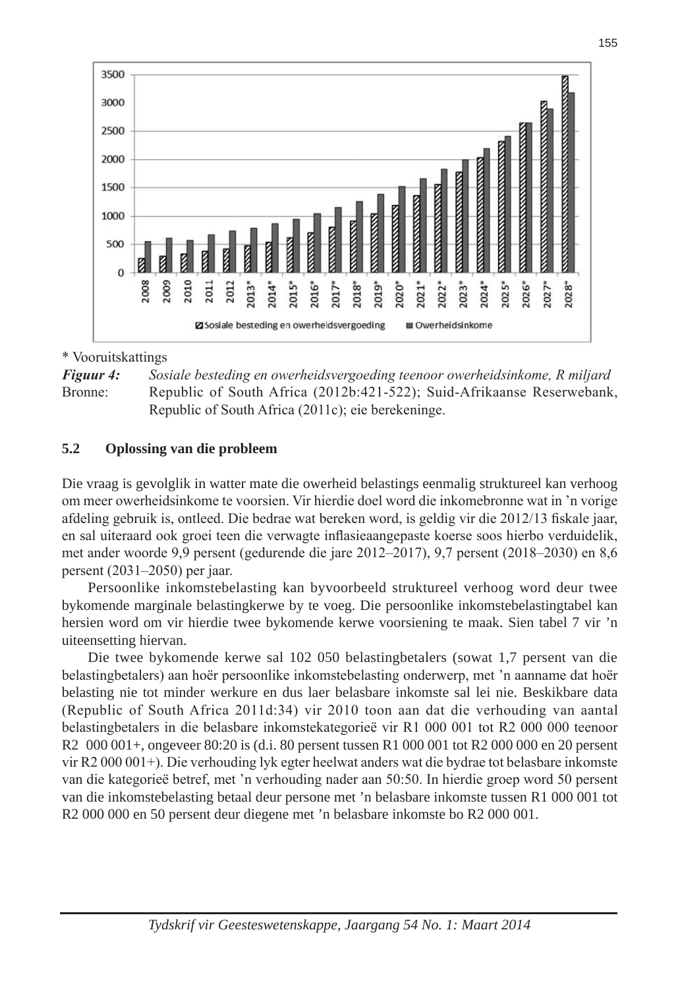

### \* Vooruitskattings

*Figuur 4: Sosiale besteding en owerheidsvergoeding teenoor owerheidsinkome, R miljard* Bronne: Republic of South Africa (2012b:421-522); Suid-Afrikaanse Reserwebank, Republic of South Africa (2011c); eie berekeninge.

#### **5.2 Oplossing van die probleem**

Die vraag is gevolglik in watter mate die owerheid belastings eenmalig struktureel kan verhoog om meer owerheidsinkome te voorsien. Vir hierdie doel word die inkomebronne wat in 'n vorige afdeling gebruik is, ontleed. Die bedrae wat bereken word, is geldig vir die 2012/13 fiskale jaar, en sal uiteraard ook groei teen die verwagte inflasieaangepaste koerse soos hierbo verduidelik, met ander woorde 9,9 persent (gedurende die jare 2012–2017), 9,7 persent (2018–2030) en 8,6 persent (2031–2050) per jaar.

Persoonlike inkomstebelasting kan byvoorbeeld struktureel verhoog word deur twee bykomende marginale belastingkerwe by te voeg. Die persoonlike inkomstebelastingtabel kan hersien word om vir hierdie twee bykomende kerwe voorsiening te maak. Sien tabel 7 vir 'n uiteensetting hiervan.

Die twee bykomende kerwe sal 102 050 belastingbetalers (sowat 1,7 persent van die belastingbetalers) aan hoër persoonlike inkomstebelasting onderwerp, met 'n aanname dat hoër belasting nie tot minder werkure en dus laer belasbare inkomste sal lei nie. Beskikbare data (Republic of South Africa 2011d:34) vir 2010 toon aan dat die verhouding van aantal belastingbetalers in die belasbare inkomstekategorieë vir R1 000 001 tot R2 000 000 teenoor R2 000 001+, ongeveer 80:20 is (d.i. 80 persent tussen R1 000 001 tot R2 000 000 en 20 persent vir R2 000 001+). Die verhouding lyk egter heelwat anders wat die bydrae tot belasbare inkomste van die kategorieë betref, met 'n verhouding nader aan 50:50. In hierdie groep word 50 persent van die inkomstebelasting betaal deur persone met 'n belasbare inkomste tussen R1 000 001 tot R2 000 000 en 50 persent deur diegene met 'n belasbare inkomste bo R2 000 001.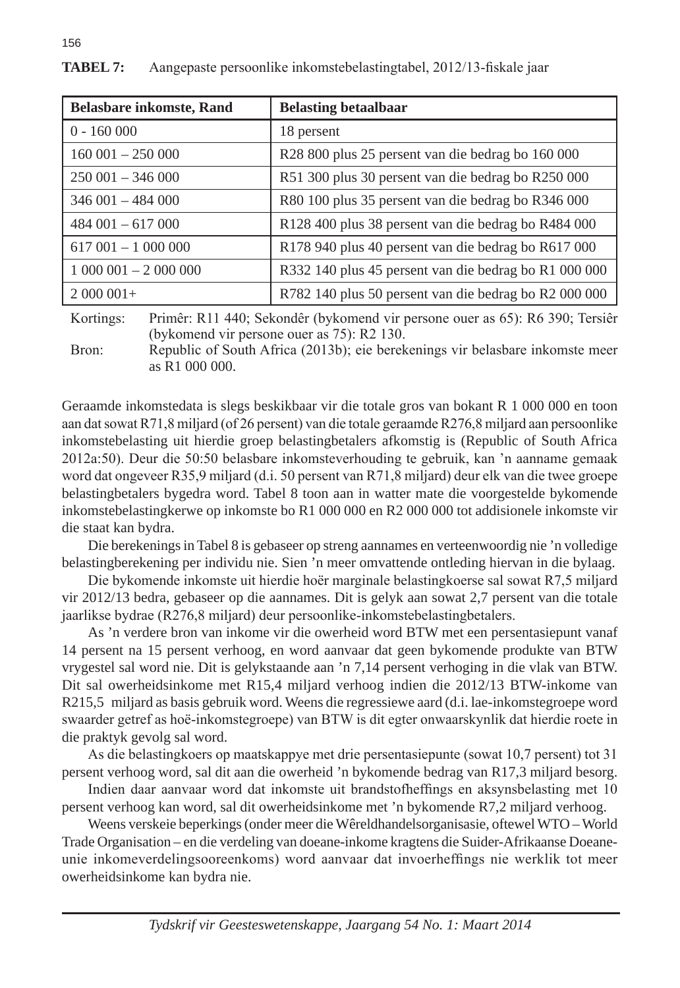| <b>Belasbare inkomste, Rand</b> | <b>Belasting betaalbaar</b>                           |
|---------------------------------|-------------------------------------------------------|
| $0 - 160000$                    | 18 persent                                            |
| $160001 - 250000$               | R28 800 plus 25 persent van die bedrag bo 160 000     |
| $250001 - 346000$               | R51 300 plus 30 persent van die bedrag bo R250 000    |
| $346001 - 484000$               | R80 100 plus 35 persent van die bedrag bo R346 000    |
| $484001 - 617000$               | R128 400 plus 38 persent van die bedrag bo R484 000   |
| $617001 - 1000000$              | R178 940 plus 40 persent van die bedrag bo R617 000   |
| $1000001 - 2000000$             | R332 140 plus 45 persent van die bedrag bo R1 000 000 |
| $2000001+$                      | R782 140 plus 50 persent van die bedrag bo R2 000 000 |

156

Kortings: Primêr: R11 440; Sekondêr (bykomend vir persone ouer as 65): R6 390; Tersiêr (bykomend vir persone ouer as 75): R2 130.

Bron: Republic of South Africa (2013b); eie berekenings vir belasbare inkomste meer as R1 000 000.

Geraamde inkomstedata is slegs beskikbaar vir die totale gros van bokant R 1 000 000 en toon aan dat sowat R71,8 miljard (of 26 persent) van die totale geraamde R276,8 miljard aan persoonlike inkomstebelasting uit hierdie groep belastingbetalers afkomstig is (Republic of South Africa 2012a:50). Deur die 50:50 belasbare inkomsteverhouding te gebruik, kan 'n aanname gemaak word dat ongeveer R35,9 miljard (d.i. 50 persent van R71,8 miljard) deur elk van die twee groepe belastingbetalers bygedra word. Tabel 8 toon aan in watter mate die voorgestelde bykomende inkomstebelastingkerwe op inkomste bo R1 000 000 en R2 000 000 tot addisionele inkomste vir die staat kan bydra.

Die berekenings in Tabel 8 is gebaseer op streng aannames en verteenwoordig nie 'n volledige belastingberekening per individu nie. Sien 'n meer omvattende ontleding hiervan in die bylaag.

Die bykomende inkomste uit hierdie hoër marginale belastingkoerse sal sowat R7,5 miljard vir 2012/13 bedra, gebaseer op die aannames. Dit is gelyk aan sowat 2,7 persent van die totale jaarlikse bydrae (R276,8 miljard) deur persoonlike-inkomstebelastingbetalers.

As 'n verdere bron van inkome vir die owerheid word BTW met een persentasiepunt vanaf 14 persent na 15 persent verhoog, en word aanvaar dat geen bykomende produkte van BTW vrygestel sal word nie. Dit is gelykstaande aan 'n 7,14 persent verhoging in die vlak van BTW. Dit sal owerheidsinkome met R15,4 miljard verhoog indien die 2012/13 BTW-inkome van R215,5 miljard as basis gebruik word. Weens die regressiewe aard (d.i. lae-inkomstegroepe word swaarder getref as hoë-inkomstegroepe) van BTW is dit egter onwaarskynlik dat hierdie roete in die praktyk gevolg sal word.

As die belastingkoers op maatskappye met drie persentasiepunte (sowat 10,7 persent) tot 31 persent verhoog word, sal dit aan die owerheid 'n bykomende bedrag van R17,3 miljard besorg.

Indien daar aanvaar word dat inkomste uit brandstofheffings en aksynsbelasting met 10 persent verhoog kan word, sal dit owerheidsinkome met 'n bykomende R7,2 miljard verhoog.

Weens verskeie beperkings (onder meer die Wêreldhandelsorganisasie, oftewel WTO – World Trade Organisation – en die verdeling van doeane-inkome kragtens die Suider-Afrikaanse Doeaneunie inkomeverdelingsooreenkoms) word aanvaar dat invoerheffings nie werklik tot meer owerheidsinkome kan bydra nie.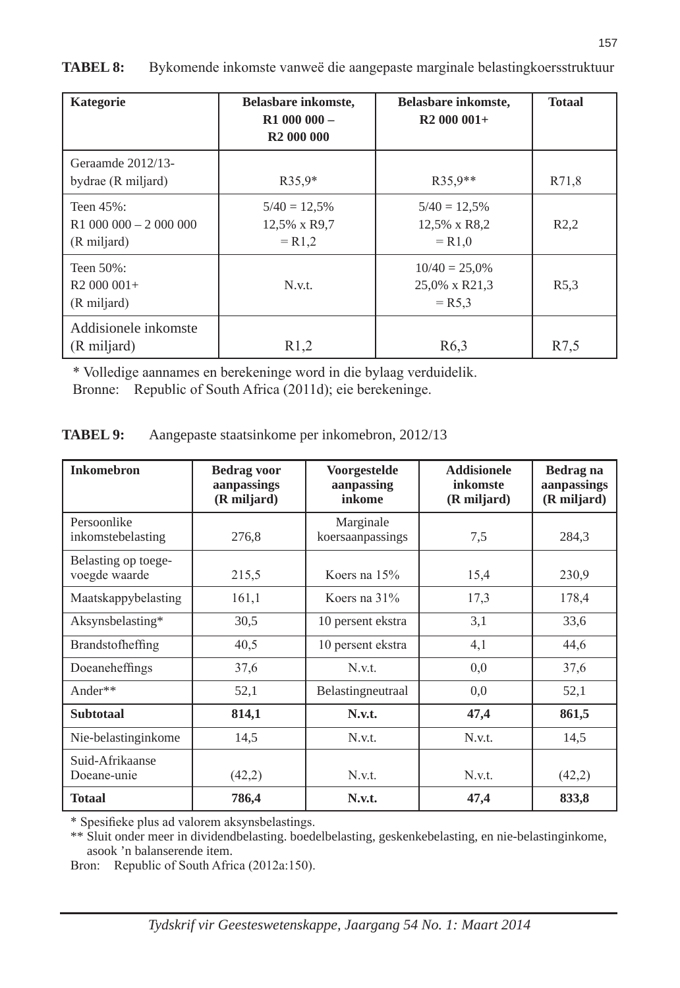| <b>Kategorie</b>                                 | <b>Belasbare inkomste,</b><br>$R1000000 -$<br>R <sub>2</sub> 000 000 | <b>Belasbare inkomste,</b><br>$R2000001+$     | <b>Totaal</b>     |
|--------------------------------------------------|----------------------------------------------------------------------|-----------------------------------------------|-------------------|
| Geraamde 2012/13-<br>bydrae (R miljard)          | $R35.9*$                                                             | $R35.9**$                                     | R71.8             |
| Teen 45%:<br>$R1000000 - 2000000$<br>(R miljard) | $5/40 = 12,5%$<br>12,5% x R9,7<br>$= R1.2$                           | $5/40 = 12,5%$<br>12,5% x R8,2<br>$= R1.0$    | R2,2              |
| Teen 50%:<br>$R2000001+$<br>(R miljard)          | N.v.t.                                                               | $10/40 = 25.0\%$<br>25,0% x R21,3<br>$=$ R5.3 | R <sub>5</sub> .3 |
| Addisionele inkomste<br>(R miljard)              | R1,2                                                                 | R <sub>6</sub> ,3                             | R7.5              |

**TABEL 8:** Bykomende inkomste vanweë die aangepaste marginale belastingkoersstruktuur

 \* Volledige aannames en berekeninge word in die bylaag verduidelik. Bronne: Republic of South Africa (2011d); eie berekeninge.

| <b>TABEL 9:</b> | Aangepaste staatsinkome per inkomebron, 2012/13 |  |
|-----------------|-------------------------------------------------|--|
|                 |                                                 |  |

| <b>Inkomebron</b>                    | <b>Bedrag voor</b><br>aanpassings<br>(R miljard) | Voorgestelde<br>aanpassing<br>inkome | <b>Addisionele</b><br><b>inkomste</b><br>(R miljard) | Bedrag na<br>aanpassings<br>(R miljard) |
|--------------------------------------|--------------------------------------------------|--------------------------------------|------------------------------------------------------|-----------------------------------------|
| Persoonlike<br>inkomstebelasting     | 276,8                                            | Marginale<br>koersaanpassings        | 7,5                                                  | 284,3                                   |
| Belasting op toege-<br>voegde waarde | 215,5                                            | Koers na 15%                         | 15,4                                                 | 230,9                                   |
| Maatskappybelasting                  | 161,1                                            | Koers na 31%                         | 17,3                                                 | 178,4                                   |
| Aksynsbelasting*                     | 30,5                                             | 10 persent ekstra                    | 3,1                                                  | 33,6                                    |
| <b>Brandstofheffing</b>              | 40,5                                             | 10 persent ekstra                    | 4,1                                                  | 44,6                                    |
| Doeaneheffings                       | 37,6                                             | N.v.t.                               | 0.0                                                  | 37,6                                    |
| Ander $**$                           | 52,1                                             | Belastingneutraal                    | 0.0                                                  | 52,1                                    |
| <b>Subtotaal</b>                     | 814,1                                            | N.v.t.                               | 47,4                                                 | 861,5                                   |
| Nie-belastinginkome                  | 14,5                                             | N.v.t.                               | N.v.t.                                               | 14,5                                    |
| Suid-Afrikaanse<br>Doeane-unie       | (42,2)                                           | N.v.t.                               | N.v.t.                                               | (42,2)                                  |
| <b>Totaal</b>                        | 786,4                                            | N.v.t.                               | 47,4                                                 | 833,8                                   |

\* Spesifieke plus ad valorem aksynsbelastings.

\*\* Sluit onder meer in dividendbelasting. boedelbelasting, geskenkebelasting, en nie-belastinginkome, asook 'n balanserende item.

Bron: Republic of South Africa (2012a:150).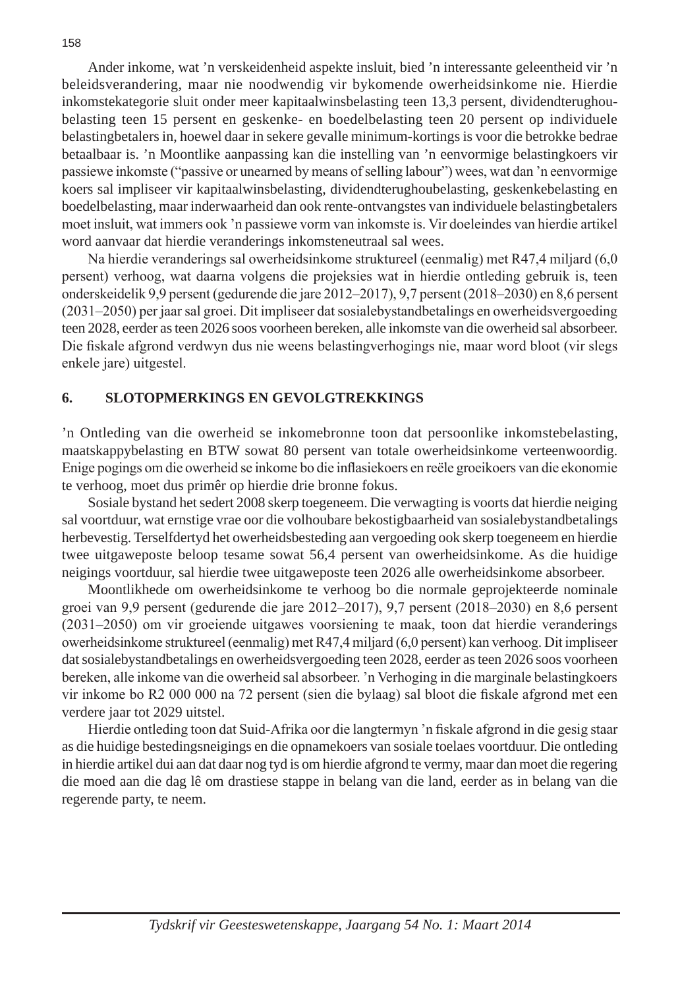Ander inkome, wat 'n verskeidenheid aspekte insluit, bied 'n interessante geleentheid vir 'n beleidsverandering, maar nie noodwendig vir bykomende owerheidsinkome nie. Hierdie inkomstekategorie sluit onder meer kapitaalwinsbelasting teen 13,3 persent, dividendterughoubelasting teen 15 persent en geskenke- en boedelbelasting teen 20 persent op individuele belastingbetalers in, hoewel daar in sekere gevalle minimum-kortings is voor die betrokke bedrae betaalbaar is. 'n Moontlike aanpassing kan die instelling van 'n eenvormige belastingkoers vir passiewe inkomste ("passive or unearned by means of selling labour") wees, wat dan 'n eenvormige koers sal impliseer vir kapitaalwinsbelasting, dividendterughoubelasting, geskenkebelasting en boedelbelasting, maar inderwaarheid dan ook rente-ontvangstes van individuele belastingbetalers moet insluit, wat immers ook 'n passiewe vorm van inkomste is. Vir doeleindes van hierdie artikel word aanvaar dat hierdie veranderings inkomsteneutraal sal wees.

Na hierdie veranderings sal owerheidsinkome struktureel (eenmalig) met R47,4 miljard (6,0 persent) verhoog, wat daarna volgens die projeksies wat in hierdie ontleding gebruik is, teen onderskeidelik 9,9 persent (gedurende die jare 2012–2017), 9,7 persent (2018–2030) en 8,6 persent (2031–2050) per jaar sal groei. Dit impliseer dat sosialebystandbetalings en owerheidsvergoeding teen 2028, eerder as teen 2026 soos voorheen bereken, alle inkomste van die owerheid sal absorbeer. Die fiskale afgrond verdwyn dus nie weens belastingverhogings nie, maar word bloot (vir slegs enkele jare) uitgestel.

### **6. SLOTOPMERKINGS EN GEVOLGTREKKINGS**

'n Ontleding van die owerheid se inkomebronne toon dat persoonlike inkomstebelasting, maatskappybelasting en BTW sowat 80 persent van totale owerheidsinkome verteenwoordig. Enige pogings om die owerheid se inkome bo die inflasiekoers en reële groeikoers van die ekonomie te verhoog, moet dus primêr op hierdie drie bronne fokus.

Sosiale bystand het sedert 2008 skerp toegeneem. Die verwagting is voorts dat hierdie neiging sal voortduur, wat ernstige vrae oor die volhoubare bekostigbaarheid van sosialebystandbetalings herbevestig. Terselfdertyd het owerheidsbesteding aan vergoeding ook skerp toegeneem en hierdie twee uitgaweposte beloop tesame sowat 56,4 persent van owerheidsinkome. As die huidige neigings voortduur, sal hierdie twee uitgaweposte teen 2026 alle owerheidsinkome absorbeer.

Moontlikhede om owerheidsinkome te verhoog bo die normale geprojekteerde nominale groei van 9,9 persent (gedurende die jare 2012–2017), 9,7 persent (2018–2030) en 8,6 persent (2031–2050) om vir groeiende uitgawes voorsiening te maak, toon dat hierdie veranderings owerheidsinkome struktureel (eenmalig) met R47,4 miljard (6,0 persent) kan verhoog. Dit impliseer dat sosialebystandbetalings en owerheidsvergoeding teen 2028, eerder as teen 2026 soos voorheen bereken, alle inkome van die owerheid sal absorbeer. 'n Verhoging in die marginale belastingkoers vir inkome bo R2 000 000 na 72 persent (sien die bylaag) sal bloot die fiskale afgrond met een verdere jaar tot 2029 uitstel.

Hierdie ontleding toon dat Suid-Afrika oor die langtermyn 'n fiskale afgrond in die gesig staar as die huidige bestedingsneigings en die opnamekoers van sosiale toelaes voortduur. Die ontleding in hierdie artikel dui aan dat daar nog tyd is om hierdie afgrond te vermy, maar dan moet die regering die moed aan die dag lê om drastiese stappe in belang van die land, eerder as in belang van die regerende party, te neem.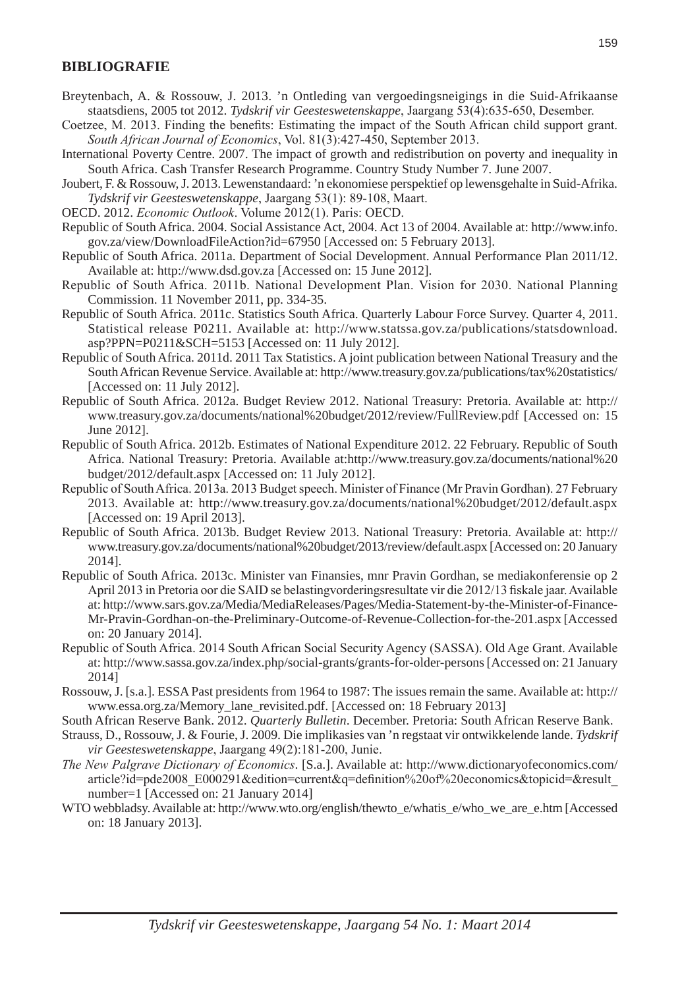### **BIBLIOGRAFIE**

- Breytenbach, A. & Rossouw, J. 2013. 'n Ontleding van vergoedingsneigings in die Suid-Afrikaanse staatsdiens, 2005 tot 2012. *Tydskrif vir Geesteswetenskappe*, Jaargang 53(4):635-650, Desember.
- Coetzee, M. 2013. Finding the benefits: Estimating the impact of the South African child support grant. *South African Journal of Economics*, Vol. 81(3):427-450, September 2013.
- International Poverty Centre. 2007. The impact of growth and redistribution on poverty and inequality in South Africa. Cash Transfer Research Programme. Country Study Number 7. June 2007.
- Joubert, F. & Rossouw, J. 2013. Lewenstandaard: 'n ekonomiese perspektief op lewensgehalte in Suid-Afrika. *Tydskrif vir Geesteswetenskappe*, Jaargang 53(1): 89-108, Maart.
- OECD. 2012. *Economic Outlook*. Volume 2012(1). Paris: OECD.
- Republic of South Africa. 2004. Social Assistance Act, 2004. Act 13 of 2004. Available at: http://www.info. gov.za/view/DownloadFileAction?id=67950 [Accessed on: 5 February 2013].
- Republic of South Africa. 2011a. Department of Social Development. Annual Performance Plan 2011/12. Available at: http://www.dsd.gov.za [Accessed on: 15 June 2012].
- Republic of South Africa. 2011b. National Development Plan. Vision for 2030. National Planning Commission. 11 November 2011, pp. 334-35.
- Republic of South Africa. 2011c. Statistics South Africa. Quarterly Labour Force Survey. Quarter 4, 2011. Statistical release P0211. Available at: http://www.statssa.gov.za/publications/statsdownload. asp?PPN=P0211&SCH=5153 [Accessed on: 11 July 2012].
- Republic of South Africa. 2011d. 2011 Tax Statistics. A joint publication between National Treasury and the South African Revenue Service. Available at: http://www.treasury.gov.za/publications/tax%20statistics/ [Accessed on: 11 July 2012].
- Republic of South Africa. 2012a. Budget Review 2012. National Treasury: Pretoria. Available at: http:// www.treasury.gov.za/documents/national%20budget/2012/review/FullReview.pdf [Accessed on: 15 June 2012].
- Republic of South Africa. 2012b. Estimates of National Expenditure 2012. 22 February. Republic of South Africa. National Treasury: Pretoria. Available at:http://www.treasury.gov.za/documents/national%20 budget/2012/default.aspx [Accessed on: 11 July 2012].
- Republic of South Africa. 2013a. 2013 Budget speech. Minister of Finance (Mr Pravin Gordhan). 27 February 2013. Available at: http://www.treasury.gov.za/documents/national%20budget/2012/default.aspx [Accessed on: 19 April 2013].
- Republic of South Africa. 2013b. Budget Review 2013. National Treasury: Pretoria. Available at: http:// www.treasury.gov.za/documents/national%20budget/2013/review/default.aspx [Accessed on: 20 January 2014].
- Republic of South Africa. 2013c. Minister van Finansies, mnr Pravin Gordhan, se mediakonferensie op 2 April 2013 in Pretoria oor die SAID se belastingvorderingsresultate vir die 2012/13 fiskale jaar. Available at: http://www.sars.gov.za/Media/MediaReleases/Pages/Media-Statement-by-the-Minister-of-Finance-Mr-Pravin-Gordhan-on-the-Preliminary-Outcome-of-Revenue-Collection-for-the-201.aspx [Accessed on: 20 January 2014].
- Republic of South Africa. 2014 South African Social Security Agency (SASSA). Old Age Grant. Available at: http://www.sassa.gov.za/index.php/social-grants/grants-for-older-persons [Accessed on: 21 January 2014]
- Rossouw, J. [s.a.]. ESSA Past presidents from 1964 to 1987: The issues remain the same. Available at: http:// www.essa.org.za/Memory\_lane\_revisited.pdf. [Accessed on: 18 February 2013]
- South African Reserve Bank. 2012. *Quarterly Bulletin*. December. Pretoria: South African Reserve Bank.
- Strauss, D., Rossouw, J. & Fourie, J. 2009. Die implikasies van 'n regstaat vir ontwikkelende lande. *Tydskrif vir Geesteswetenskappe*, Jaargang 49(2):181-200, Junie.
- *The New Palgrave Dictionary of Economics*. [S.a.]. Available at: http://www.dictionaryofeconomics.com/ article?id=pde2008\_E000291&edition=current&q=definition%20of%20economics&topicid=&result number=1 [Accessed on: 21 January 2014]
- WTO webbladsy. Available at: http://www.wto.org/english/thewto\_e/whatis\_e/who\_we\_are\_e.htm [Accessed on: 18 January 2013].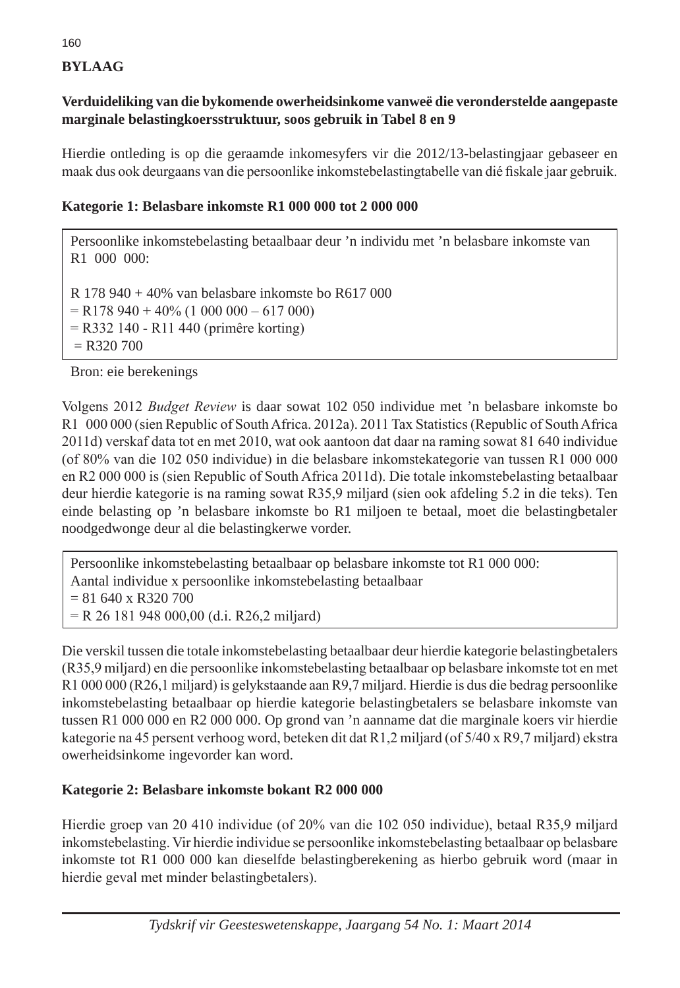# **BYLAAG**

# **Verduideliking van die bykomende owerheidsinkome vanweë die veronderstelde aangepaste marginale belastingkoersstruktuur, soos gebruik in Tabel 8 en 9**

Hierdie ontleding is op die geraamde inkomesyfers vir die 2012/13-belastingjaar gebaseer en maak dus ook deurgaans van die persoonlike inkomstebelastingtabelle van dié fiskale jaar gebruik.

## **Kategorie 1: Belasbare inkomste R1 000 000 tot 2 000 000**

Persoonlike inkomstebelasting betaalbaar deur 'n individu met 'n belasbare inkomste van R1 000 000:

R 178 940 + 40% van belasbare inkomste bo R617 000  $=$  R178 940 + 40% (1 000 000 – 617 000) = R332 140 - R11 440 (primêre korting)  $=$  R320 700

Bron: eie berekenings

Volgens 2012 *Budget Review* is daar sowat 102 050 individue met 'n belasbare inkomste bo R1 000 000 (sien Republic of South Africa. 2012a). 2011 Tax Statistics (Republic of South Africa 2011d) verskaf data tot en met 2010, wat ook aantoon dat daar na raming sowat 81 640 individue (of 80% van die 102 050 individue) in die belasbare inkomstekategorie van tussen R1 000 000 en R2 000 000 is (sien Republic of South Africa 2011d). Die totale inkomstebelasting betaalbaar deur hierdie kategorie is na raming sowat R35,9 miljard (sien ook afdeling 5.2 in die teks). Ten einde belasting op 'n belasbare inkomste bo R1 miljoen te betaal, moet die belastingbetaler noodgedwonge deur al die belastingkerwe vorder.

Persoonlike inkomstebelasting betaalbaar op belasbare inkomste tot R1 000 000: Aantal individue x persoonlike inkomstebelasting betaalbaar  $= 81640 \times R320700$ = R 26 181 948 000,00 (d.i. R26,2 miljard)

Die verskil tussen die totale inkomstebelasting betaalbaar deur hierdie kategorie belastingbetalers (R35,9 miljard) en die persoonlike inkomstebelasting betaalbaar op belasbare inkomste tot en met R1 000 000 (R26,1 miljard) is gelykstaande aan R9,7 miljard. Hierdie is dus die bedrag persoonlike inkomstebelasting betaalbaar op hierdie kategorie belastingbetalers se belasbare inkomste van tussen R1 000 000 en R2 000 000. Op grond van 'n aanname dat die marginale koers vir hierdie kategorie na 45 persent verhoog word, beteken dit dat R1,2 miljard (of 5/40 x R9,7 miljard) ekstra owerheidsinkome ingevorder kan word.

### **Kategorie 2: Belasbare inkomste bokant R2 000 000**

Hierdie groep van 20 410 individue (of 20% van die 102 050 individue), betaal R35,9 miljard inkomstebelasting. Vir hierdie individue se persoonlike inkomstebelasting betaalbaar op belasbare inkomste tot R1 000 000 kan dieselfde belastingberekening as hierbo gebruik word (maar in hierdie geval met minder belastingbetalers).

*Tydskrif vir Geesteswetenskappe, Jaargang 54 No. 1: Maart 2014*

160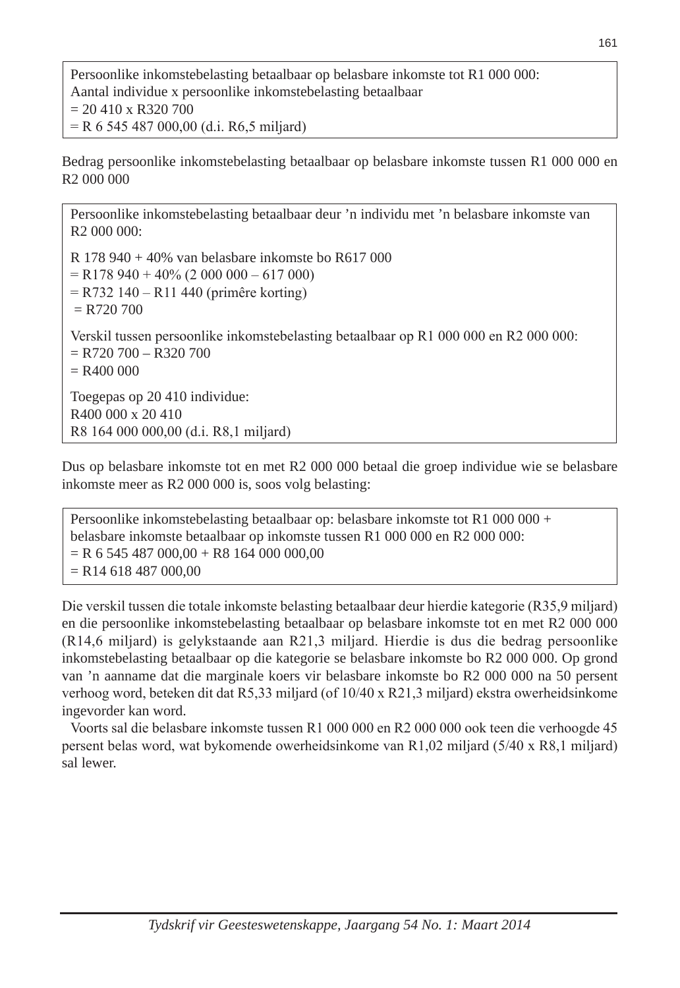Persoonlike inkomstebelasting betaalbaar op belasbare inkomste tot R1 000 000: Aantal individue x persoonlike inkomstebelasting betaalbaar  $= 20 410 x R320 700$ = R 6 545 487 000,00 (d.i. R6,5 miljard)

Bedrag persoonlike inkomstebelasting betaalbaar op belasbare inkomste tussen R1 000 000 en R2 000 000

Persoonlike inkomstebelasting betaalbaar deur 'n individu met 'n belasbare inkomste van R2 000 000: R 178 940 + 40% van belasbare inkomste bo R617 000  $=$  R178 940 + 40% (2 000 000 – 617 000) = R732 140 – R11 440 (primêre korting)  $= R720 700$ Verskil tussen persoonlike inkomstebelasting betaalbaar op R1 000 000 en R2 000 000:  $=$  R720 700 – R320 700  $= R400 000$ Toegepas op 20 410 individue: R400 000 x 20 410 R8 164 000 000,00 (d.i. R8,1 miljard)

Dus op belasbare inkomste tot en met R2 000 000 betaal die groep individue wie se belasbare inkomste meer as R2 000 000 is, soos volg belasting:

Persoonlike inkomstebelasting betaalbaar op: belasbare inkomste tot R1 000 000 + belasbare inkomste betaalbaar op inkomste tussen R1 000 000 en R2 000 000:  $=$  R 6 545 487 000,00 + R8 164 000 000,00  $=$  R14 618 487 000,00

Die verskil tussen die totale inkomste belasting betaalbaar deur hierdie kategorie (R35,9 miljard) en die persoonlike inkomstebelasting betaalbaar op belasbare inkomste tot en met R2 000 000 (R14,6 miljard) is gelykstaande aan R21,3 miljard. Hierdie is dus die bedrag persoonlike inkomstebelasting betaalbaar op die kategorie se belasbare inkomste bo R2 000 000. Op grond van 'n aanname dat die marginale koers vir belasbare inkomste bo R2 000 000 na 50 persent verhoog word, beteken dit dat R5,33 miljard (of 10/40 x R21,3 miljard) ekstra owerheidsinkome ingevorder kan word.

Voorts sal die belasbare inkomste tussen R1 000 000 en R2 000 000 ook teen die verhoogde 45 persent belas word, wat bykomende owerheidsinkome van R1,02 miljard (5/40 x R8,1 miljard) sal lewer.